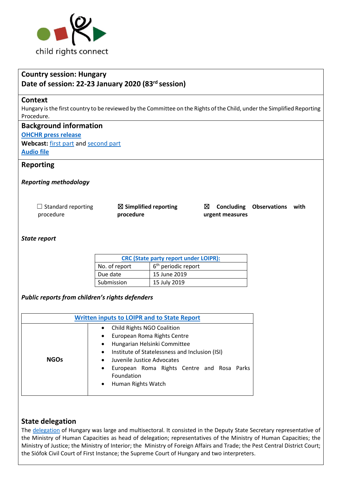

# **Country session: Hungary Date of session: 22-23 January 2020 (83rd session)**

#### **Context**

Hungary is the first country to be reviewed by the Committee on the Rights of the Child, under the Simplified Reporting Procedure.

### **Background information**

**[OHCHR press release](https://www.ohchr.org/EN/NewsEvents/Pages/DisplayNews.aspx?NewsID=25499&LangID=E)**

**Webcast:** [first part](http://webtv.un.org/meetings-events/human-rights-treaty-bodies/committee-on-the-rights-of-the-child/watch/consideration-of-hungary-2436th-meeting-83rd-session-committee-on-the-rights-of-the-child/6125631489001) an[d second part](http://webtv.un.org/meetings-events/human-rights-treaty-bodies/committee-on-the-rights-of-the-child/watch/consideration-of-hungary-contd-2437th-meeting-83rd-session-committee-on-the-rights-of-the-child/6125871255001/?term=) **[Audio file](https://conf.unog.ch/digitalrecordings/)**

### **Reporting**

### *Reporting methodology*

| $\Box$ Standard reporting | $\boxtimes$ Simplified reporting |
|---------------------------|----------------------------------|
| procedure                 | procedure                        |

☒ **Concluding Observations with urgent measures**

#### *State report*

| <b>CRC (State party report under LOIPR):</b> |                                 |  |
|----------------------------------------------|---------------------------------|--|
| No. of report                                | 6 <sup>th</sup> periodic report |  |
| Due date                                     | 15 June 2019                    |  |
| Submission                                   | 15 July 2019                    |  |

*Public reports from children's rights defenders*

| <b>Written inputs to LOIPR and to State Report</b> |                                                                                                                                                                                                                                                                                                                                                               |  |  |
|----------------------------------------------------|---------------------------------------------------------------------------------------------------------------------------------------------------------------------------------------------------------------------------------------------------------------------------------------------------------------------------------------------------------------|--|--|
| <b>NGOs</b>                                        | <b>Child Rights NGO Coalition</b><br>$\bullet$<br>European Roma Rights Centre<br>$\bullet$<br>Hungarian Helsinki Committee<br>$\bullet$<br>Institute of Statelessness and Inclusion (ISI)<br>$\bullet$<br>Juvenile Justice Advocates<br>$\bullet$<br>European Roma Rights Centre and Rosa Parks<br>$\bullet$<br>Foundation<br>Human Rights Watch<br>$\bullet$ |  |  |

### **State delegation**

The [delegation](https://tbinternet.ohchr.org/_layouts/15/treatybodyexternal/Download.aspx?symbolno=INT%2fCRC%2fLOP%2fHUN%2f41139&Lang=en) of Hungary was large and multisectoral. It consisted in the Deputy State Secretary representative of the Ministry of Human Capacities as head of delegation; representatives of the Ministry of Human Capacities; the Ministry of Justice; the Ministry of Interior; the Ministry of Foreign Affairs and Trade; the Pest Central District Court; the Siófok Civil Court of First Instance; the Supreme Court of Hungary and two interpreters.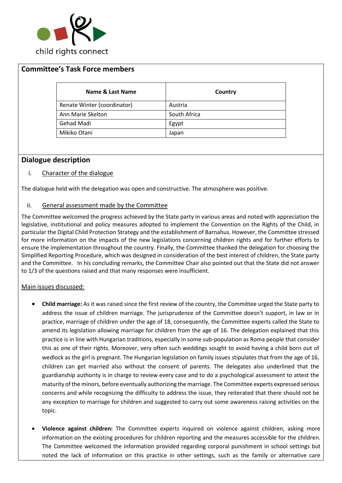

## **Committee's Task Force members**

| Name & Last Name            | Country      |
|-----------------------------|--------------|
| Renate Winter (coordinator) | Austria      |
| Ann Marie Skelton           | South Africa |
| Gehad Madi                  | Egypt        |
| Mikiko Otani                | Japan        |

### **Dialogue description**

### i. Character of the dialogue

The dialogue held with the delegation was open and constructive. The atmosphere was positive.

### ii. General assessment made by the Committee

The Committee welcomed the progress achieved by the State party in various areas and noted with appreciation the legislative, institutional and policy measures adopted to implement the Convention on the Rights of the Child, in particular the Digital Child Protection Strategy and the establishment of Barnahus. However, the Committee stressed for more information on the impacts of the new legislations concerning children rights and for further efforts to ensure the implementation throughout the country. Finally, the Committee thanked the delegation for choosing the Simplified Reporting Procedure, which was designed in consideration of the best interest of children, the State party and the Committee. In his concluding remarks, the Committee Chair also pointed out that the State did not answer to 1/3 of the questions raised and that many responses were insufficient.

### Main issues discussed:

- **Child marriage:** As it was raised since the first review of the country, the Committee urged the State party to address the issue of children marriage. The jurisprudence of the Committee doesn't support, in law or in practice, marriage of children under the age of 18, consequently, the Committee experts called the State to amend its legislation allowing marriage for children from the age of 16. The delegation explained that this practice is in line with Hungarian traditions, especially in some sub-population as Roma people that consider this as one of their rights. Moreover, very often such weddings sought to avoid having a child born out of wedlock as the girl is pregnant. The Hungarian legislation on family issues stipulates that from the age of 16, children can get married also without the consent of parents. The delegates also underlined that the guardianship authority is in charge to review every case and to do a psychological assessment to attest the maturity of the minors, before eventually authorizing the marriage. The Committee experts expressed serious concerns and while recognizing the difficulty to address the issue, they reiterated that there should not be any exception to marriage for children and suggested to carry out some awareness raising activities on the topic.
- **Violence against children:** The Committee experts inquired on violence against children, asking more information on the existing procedures for children reporting and the measures accessible for the children. The Committee welcomed the information provided regarding corporal punishment in school settings but noted the lack of information on this practice in other settings, such as the family or alternative care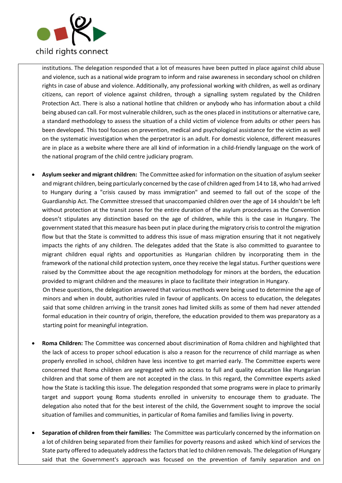

institutions. The delegation responded that a lot of measures have been putted in place against child abuse and violence, such as a national wide program to inform and raise awareness in secondary school on children rights in case of abuse and violence. Additionally, any professional working with children, as well as ordinary citizens, can report of violence against children, through a signalling system regulated by the Children Protection Act. There is also a national hotline that children or anybody who has information about a child being abused can call. For most vulnerable children, such as the ones placed in institutions or alternative care, a standard methodology to assess the situation of a child victim of violence from adults or other peers has been developed. This tool focuses on prevention, medical and psychological assistance for the victim as well on the systematic investigation when the perpetrator is an adult. For domestic violence, different measures are in place as a website where there are all kind of information in a child-friendly language on the work of the national program of the child centre judiciary program.

• **Asylum seeker and migrant children:** The Committee asked for information on the situation of asylum seeker and migrant children, being particularly concerned by the case of children aged from 14 to 18, who had arrived to Hungary during a "crisis caused by mass immigration" and seemed to fall out of the scope of the Guardianship Act. The Committee stressed that unaccompanied children over the age of 14 shouldn't be left without protection at the transit zones for the entire duration of the asylum procedures as the Convention doesn't stipulates any distinction based on the age of children, while this is the case in Hungary. The government stated that this measure has been put in place during the migratory crisis to control the migration flow but that the State is committed to address this issue of mass migration ensuring that it not negatively impacts the rights of any children. The delegates added that the State is also committed to guarantee to migrant children equal rights and opportunities as Hungarian children by incorporating them in the framework of the national child protection system, once they receive the legal status. Further questions were raised by the Committee about the age recognition methodology for minors at the borders, the education provided to migrant children and the measures in place to facilitate their integration in Hungary.

On these questions, the delegation answered that various methods were being used to determine the age of minors and when in doubt, authorities ruled in favour of applicants. On access to education, the delegates said that some children arriving in the transit zones had limited skills as some of them had never attended formal education in their country of origin, therefore, the education provided to them was preparatory as a starting point for meaningful integration.

- **Roma Children:** The Committee was concerned about discrimination of Roma children and highlighted that the lack of access to proper school education is also a reason for the recurrence of child marriage as when properly enrolled in school, children have less incentive to get married early. The Committee experts were concerned that Roma children are segregated with no access to full and quality education like Hungarian children and that some of them are not accepted in the class. In this regard, the Committee experts asked how the State is tackling this issue. The delegation responded that some programs were in place to primarily target and support young Roma students enrolled in university to encourage them to graduate. The delegation also noted that for the best interest of the child, the Government sought to improve the social situation of families and communities, in particular of Roma families and families living in poverty.
- **Separation of children from their families:** The Committee was particularly concerned by the information on a lot of children being separated from their families for poverty reasons and asked which kind of services the State party offered to adequately address the factors that led to children removals. The delegation of Hungary said that the Government's approach was focused on the prevention of family separation and on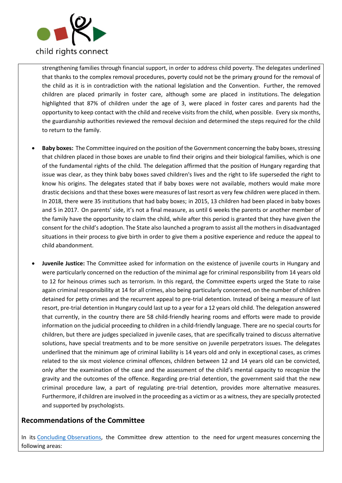

strengthening families through financial support, in order to address child poverty. The delegates underlined that thanks to the complex removal procedures, poverty could not be the primary ground for the removal of the child as it is in contradiction with the national legislation and the Convention. Further, the removed children are placed primarily in foster care, although some are placed in institutions. The delegation highlighted that 87% of children under the age of 3, were placed in foster cares and parents had the opportunity to keep contact with the child and receive visits from the child, when possible. Every six months, the guardianship authorities reviewed the removal decision and determined the steps required for the child to return to the family.

- **Baby boxes:** The Committee inquired on the position of the Government concerning the baby boxes, stressing that children placed in those boxes are unable to find their origins and their biological families, which is one of the fundamental rights of the child. The delegation affirmed that the position of Hungary regarding that issue was clear, as they think baby boxes saved children's lives and the right to life superseded the right to know his origins. The delegates stated that if baby boxes were not available, mothers would make more drastic decisions and that these boxes were measures of last resort as very few children were placed in them. In 2018, there were 35 institutions that had baby boxes; in 2015, 13 children had been placed in baby boxes and 5 in 2017. On parents' side, it's not a final measure, as until 6 weeks the parents or another member of the family have the opportunity to claim the child, while after this period is granted that they have given the consent for the child's adoption. The State also launched a program to assist all the mothers in disadvantaged situations in their process to give birth in order to give them a positive experience and reduce the appeal to child abandonment.
- **Juvenile Justice:** The Committee asked for information on the existence of juvenile courts in Hungary and were particularly concerned on the reduction of the minimal age for criminal responsibility from 14 years old to 12 for heinous crimes such as terrorism. In this regard, the Committee experts urged the State to raise again criminal responsibility at 14 for all crimes, also being particularly concerned, on the number of children detained for petty crimes and the recurrent appeal to pre-trial detention. Instead of being a measure of last resort, pre-trial detention in Hungary could last up to a year for a 12 years old child. The delegation answered that currently, in the country there are 58 child-friendly hearing rooms and efforts were made to provide information on the judicial proceeding to children in a child-friendly language. There are no special courts for children, but there are judges specialized in juvenile cases, that are specifically trained to discuss alternative solutions, have special treatments and to be more sensitive on juvenile perpetrators issues. The delegates underlined that the minimum age of criminal liability is 14 years old and only in exceptional cases, as crimes related to the six most violence criminal offences, children between 12 and 14 years old can be convicted, only after the examination of the case and the assessment of the child's mental capacity to recognize the gravity and the outcomes of the offence. Regarding pre-trial detention, the government said that the new criminal procedure law, a part of regulating pre-trial detention, provides more alternative measures. Furthermore, if children are involved in the proceeding as a victim or as a witness, they are specially protected and supported by psychologists.

# **Recommendations of the Committee**

In its [Concluding Observations,](https://tbinternet.ohchr.org/_layouts/15/treatybodyexternal/Download.aspx?symbolno=CRC%2fC%2fHUN%2fCO%2f6&Lang=en) the Committee drew attention to the need for urgent measures concerning the following areas: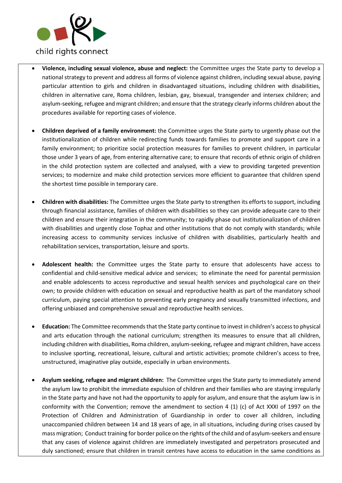

- **Violence, including sexual violence, abuse and neglect:** the Committee urges the State party to develop a national strategy to prevent and address all forms of violence against children, including sexual abuse, paying particular attention to girls and children in disadvantaged situations, including children with disabilities, children in alternative care, Roma children, lesbian, gay, bisexual, transgender and intersex children; and asylum-seeking, refugee and migrant children; and ensure that the strategy clearly informs children about the procedures available for reporting cases of violence.
- **Children deprived of a family environment:** the Committee urges the State party to urgently phase out the institutionalization of children while redirecting funds towards families to promote and support care in a family environment; to prioritize social protection measures for families to prevent children, in particular those under 3 years of age, from entering alternative care; to ensure that records of ethnic origin of children in the child protection system are collected and analysed, with a view to providing targeted prevention services; to modernize and make child protection services more efficient to guarantee that children spend the shortest time possible in temporary care.
- **Children with disabilities:** The Committee urges the State party to strengthen its efforts to support, including through financial assistance, families of children with disabilities so they can provide adequate care to their children and ensure their integration in the community; to rapidly phase out institutionalization of children with disabilities and urgently close Tophaz and other institutions that do not comply with standards; while increasing access to community services inclusive of children with disabilities, particularly health and rehabilitation services, transportation, leisure and sports.
- **Adolescent health:** the Committee urges the State party to ensure that adolescents have access to confidential and child-sensitive medical advice and services; to eliminate the need for parental permission and enable adolescents to access reproductive and sexual health services and psychological care on their own; to provide children with education on sexual and reproductive health as part of the mandatory school curriculum, paying special attention to preventing early pregnancy and sexually transmitted infections, and offering unbiased and comprehensive sexual and reproductive health services.
- **Education:** The Committee recommends that the State party continue to invest in children's access to physical and arts education through the national curriculum; strengthen its measures to ensure that all children, including children with disabilities, Roma children, asylum-seeking, refugee and migrant children, have access to inclusive sporting, recreational, leisure, cultural and artistic activities; promote children's access to free, unstructured, imaginative play outside, especially in urban environments.
- **Asylum seeking, refugee and migrant children:** The Committee urges the State party to immediately amend the asylum law to prohibit the immediate expulsion of children and their families who are staying irregularly in the State party and have not had the opportunity to apply for asylum, and ensure that the asylum law is in conformity with the Convention; remove the amendment to section 4 (1) (c) of Act XXXI of 1997 on the Protection of Children and Administration of Guardianship in order to cover all children, including unaccompanied children between 14 and 18 years of age, in all situations, including during crises caused by mass migration; Conduct training for border police on the rights of the child and of asylum-seekers and ensure that any cases of violence against children are immediately investigated and perpetrators prosecuted and duly sanctioned; ensure that children in transit centres have access to education in the same conditions as